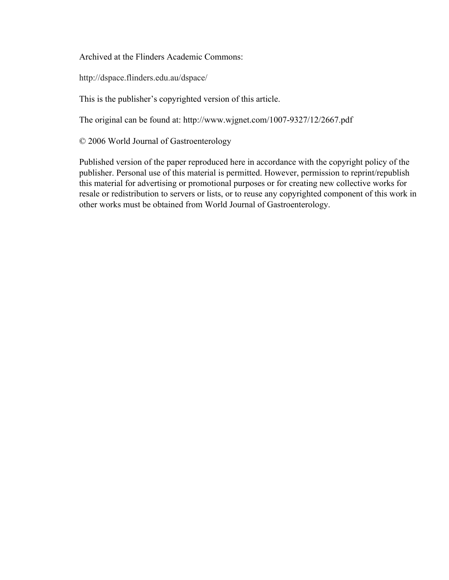Archived at the Flinders Academic Commons:

http://dspace.flinders.edu.au/dspace/

This is the publisher's copyrighted version of this article.

The original can be found at: http://www.wjgnet.com/1007-9327/12/2667.pdf

© 2006 World Journal of Gastroenterology

Published version of the paper reproduced here in accordance with the copyright policy of the publisher. Personal use of this material is permitted. However, permission to reprint/republish this material for advertising or promotional purposes or for creating new collective works for resale or redistribution to servers or lists, or to reuse any copyrighted component of this work in other works must be obtained from World Journal of Gastroenterology.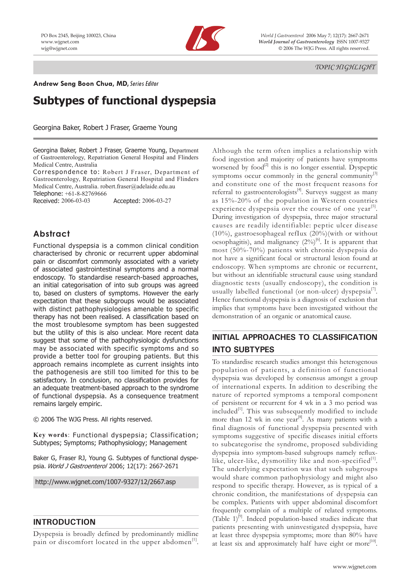

PO Box 2345, Beijing 100023, China *World J Gastroenterol* 2006 May 7; 12(17): 2667-2671 www.wjgnet.com *World Journal of Gastroenterology* ISSN 1007-9327 wjg@wjgnet.com © 2006 The WJG Press. All rights reserved.

 *TOPIC HIGHLIGHT*

**Andrew Seng Boon Chua, MD, Series Editor** 

# **Subtypes of functional dyspepsia**

Georgina Baker, Robert J Fraser, Graeme Young

Georgina Baker, Robert J Fraser, Graeme Young, Department of Gastroenterology, Repatriation General Hospital and Flinders Medical Centre, Australia

Correspondence to: Robert J Fraser, Department of Gastroenterology, Repatriation General Hospital and Flinders Medical Centre, Australia. robert.fraser@adelaide.edu.au

Telephone: +61-8-82769666

Received: 2006-03-03 Accepted: 2006-03-27

### **Abstract**

Functional dyspepsia is a common clinical condition characterised by chronic or recurrent upper abdominal pain or discomfort commonly associated with a variety of associated gastrointestinal symptoms and a normal endoscopy. To standardise research-based approaches, an initial categorisation of into sub groups was agreed to, based on clusters of symptoms. However the early expectation that these subgroups would be associated with distinct pathophysiologies amenable to specific therapy has not been realised. A classification based on the most troublesome symptom has been suggested but the utility of this is also unclear. More recent data suggest that some of the pathophysiologic dysfunctions may be associated with specific symptoms and so provide a better tool for grouping patients. But this approach remains incomplete as current insights into the pathogenesis are still too limited for this to be satisfactory. In conclusion, no classification provides for an adequate treatment-based approach to the syndrome of functional dyspepsia. As a consequence treatment remains largely empiric.

© 2006 The WJG Press. All rights reserved.

**Key words**: Functional dyspepsia; Classification; Subtypes; Symptoms; Pathophysiology; Management

Baker G, Fraser RJ, Young G. Subtypes of functional dyspepsia. World J Gastroenterol 2006; 12(17): 2667-2671

http://www.wjgnet.com/1007-9327/12/2667.asp

### **INTRODUCTION**

Dyspepsia is broadly defined by predominantly midline pain or discomfort located in the upper abdomen $<sup>[1]</sup>$ .</sup>

Although the term often implies a relationship with food ingestion and majority of patients have symptoms worsened by food<sup>[2]</sup> this is no longer essential. Dyspeptic symptoms occur commonly in the general community $\left[3\right]$ and constitute one of the most frequent reasons for referral to gastroenterologists<sup>[4]</sup>. Surveys suggest as many as 15%-20% of the population in Western countries experience dyspepsia over the course of one year<sup>[5]</sup>. During investigation of dyspepsia, three major structural causes are readily identifiable: peptic ulcer disease  $(10\%)$ , gastroesophageal reflux  $(20\%)$  with or without oesophagitis), and malignancy  $(2\%)^{[6]}$ . It is apparent that most (50%-70%) patients with chronic dyspepsia do not have a significant focal or structural lesion found at endoscopy. When symptoms are chronic or recurrent, but without an identifiable structural cause using standard diagnostic tests (usually endoscopy), the condition is usually labelled functional (or non-ulcer) dyspepsia<sup>[7]</sup>. Hence functional dyspepsia is a diagnosis of exclusion that implies that symptoms have been investigated without the demonstration of an organic or anatomical cause.

# **INITIAL APPROACHES TO CLASSIFICATION INTO SUBTYPES**

To standardise research studies amongst this heterogenous population of patients, a definition of functional dyspepsia was developed by consensus amongst a group of international experts. In addition to describing the nature of reported symptoms a temporal component of persistent or recurrent for 4 wk in a 3 mo period was included<sup>[1]</sup>. This was subsequently modified to include more than 12 wk in one year<sup>[8]</sup>. As many patients with a final diagnosis of functional dyspepsia presented with symptoms suggestive of specific diseases initial efforts to subcategorise the syndrome, proposed subdividing dyspepsia into symptom-based subgroups namely refluxlike, ulcer-like, dysmotility like and non-specified $[1]$ . The underlying expectation was that such subgroups would share common pathophysiology and might also respond to specific therapy. However, as is typical of a chronic condition, the manifestations of dyspepsia can be complex. Patients with upper abdominal discomfort frequently complain of a multiple of related symptoms. (Table  $1$ )<sup>[9]</sup>. Indeed population-based studies indicate that patients presenting with uninvestigated dyspepsia, have at least three dyspepsia symptoms; more than 80% have at least six and approximately half have eight or more<sup>[10]</sup>.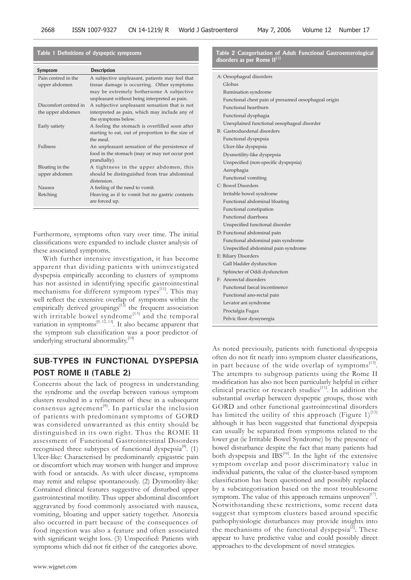| Symptom               | <b>Description</b>                                |  |  |  |
|-----------------------|---------------------------------------------------|--|--|--|
| Pain centred in the   | A subjective unpleasant, patients may feel that   |  |  |  |
| upper abdomen         | tissue damage is occurring. Other symptoms        |  |  |  |
|                       | may be extremely bothersome A subjective          |  |  |  |
|                       | unpleasant without being interpreted as pain.     |  |  |  |
| Discomfort centred in | A subjective unpleasant sensation that is not     |  |  |  |
| the upper abdomen     | interpreted as pain, which may include any of     |  |  |  |
|                       | the symptoms below.                               |  |  |  |
| Early satiety         | A feeling the stomach is overfilled soon after    |  |  |  |
|                       | starting to eat, out of proportion to the size of |  |  |  |
|                       | the meal                                          |  |  |  |
| <b>Fullness</b>       | An unpleasant sensation of the persistence of     |  |  |  |
|                       | food in the stomach (may or may not occur post    |  |  |  |
|                       | prandially).                                      |  |  |  |
| Bloating in the       | A tightness in the upper abdomen, this            |  |  |  |
| upper abdomen         | should be distinguished from true abdominal       |  |  |  |
|                       | distension.                                       |  |  |  |
| Nausea                | A feeling of the need to vomit.                   |  |  |  |
| Retching              | Heaving as if to vomit but no gastric contents    |  |  |  |
|                       | are forced up.                                    |  |  |  |
|                       |                                                   |  |  |  |

**Table 1 Defi nitions of dyspeptic symptoms**

Furthermore, symptoms often vary over time. The initial classifications were expanded to include cluster analysis of these associated symptoms.

With further intensive investigation, it has become apparent that dividing patients with uninvestigated dyspepsia empirically according to clusters of symptoms has not assisted in identifying specific gastrointestinal mechanisms for different symptom types<sup>[11]</sup>. This may well reflect the extensive overlap of symptoms within the empirically derived groupings $[12]$  the frequent association with irritable bowel syndrome<sup>[13]</sup> and the temporal variation in symptoms<sup>[9, 12, 13]</sup>. It also became apparent that the symptom sub classification was a poor predictor of underlying structural abnormality.<sup>[14]</sup>

### **SUB-TYPES IN FUNCTIONAL DYSPEPSIA POST ROME II (TABLE 2)**

Concerns about the lack of progress in understanding the syndrome and the overlap between various symptom clusters resulted in a refinement of these in a subsequrnt consensus agreement<sup>[8]</sup>. In particular the inclusion of patients with predominant symptoms of GORD was considered unwarranted as this entity should be distinguished in its own right. Thus the ROME II assessment of Functional Gastrointestinal Disorders recognised three subtypes of functional dyspepsia<sup>[8]</sup>. (1) Ulcer-like: Characterised by predominantly epigastric pain or discomfort which may worsen with hunger and improve with food or antacids. As with ulcer disease, symptoms may remit and relapse spontaneously. (2) Dysmotility-like: Contained clinical features suggestive of disturbed upper gastrointestinal motility. Thus upper abdominal discomfort aggravated by food commonly associated with nausea, vomiting, bloating and upper satiety together. Anorexia also occurred in part because of the consequences of food ingestion was also a feature and often associated with significant weight loss. (3) Unspecified: Patients with symptoms which did not fit either of the categories above.

|                                         |  |  | Table 2 Categorisation of Adult Functional Gastroenterological |  |
|-----------------------------------------|--|--|----------------------------------------------------------------|--|
| disorders as per Rome II <sup>[1]</sup> |  |  |                                                                |  |

| A: Oesophageal disorders                             |
|------------------------------------------------------|
| Globus                                               |
| Rumination syndrome                                  |
| Functional chest pain of presumed oesophageal origin |
| Functional heartburn                                 |
| Functional dysphagia                                 |
| Unexplained functional oesophageal disorder          |
| B: Gastroduodenal disorders                          |
| Functional dyspepsia                                 |
| Ulcer-like dyspepsia                                 |
| Dysmotility-like dyspepsia                           |
| Unspecified (non-specific dyspepsia)                 |
| Aerophagia                                           |
| Functional vomiting                                  |
| C: Bowel Disorders                                   |
| Irritable bowel syndrome                             |
| Functional abdominal bloating                        |
| Functional constipation                              |
| <b>Functional diarrhoea</b>                          |
| Unspecified functional disorder                      |
| D: Functional abdominal pain                         |
| Functional abdominal pain syndrome                   |
| Unspecified abdominal pain syndrome                  |
| E: Biliary Disorders                                 |
| Gall bladder dysfunction                             |
| Sphincter of Oddi dysfunction                        |
| F: Anorectal disorders                               |
| Functional faecal incontinence                       |
| Functional ano-rectal pain                           |
| Levator ani syndrome                                 |
| Proctalgia Fugax                                     |
| Pelvic floor dyssynergia                             |
|                                                      |

As noted previously, patients with functional dyspepsia often do not fit neatly into symptom cluster classifications, in part because of the wide overlap of symptoms $^{[13]}$ . The attempts to subgroup patients using the Rome II modification has also not been particularly helpful in either clinical practice or research studies $^{[11]}$ . In addition the substantial overlap between dyspeptic groups, those with GORD and other functional gastrointestinal disorders has limited the utility of this approach (Figure  $1$ )<sup>[15]</sup> although it has been suggested that functional dyspepsia can usually be separated from symptoms related to the lower gut (ie Irritable Bowel Syndrome) by the presence of bowel disturbance despite the fact that many patients had bower disturbance deeper and  $IBS<sup>[16]</sup>$ . In the light of the extensive symptom overlap and poor discriminatory value in individual patients, the value of the cluster-based symptom classification has been questioned and possibly replaced by a subcategorisation based on the most troublesome symptom. The value of this approach remains unproven $1^{17}$ . Notwithstanding these restrictions, some recent data suggest that symptom clusters based around specific pathophysiologic disturbances may provide insights into the mechanisms of the functional dyspepsia $^{[2]}$ . These appear to have predictive value and could possibly direct approaches to the development of novel strategies.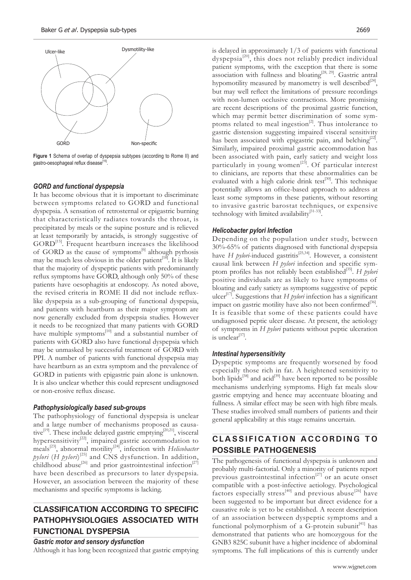

**Figure 1** Schema of overlap of dyspepsia subtypes (according to Rome II) and gastro-oesophageal reflux disease<sup>[15]</sup>

#### *GORD and functional dyspepsia*

It has become obvious that it is important to discriminate between symptoms related to GORD and functional dyspepsia. A sensation of retrosternal or epigastric burning that characteristically radiates towards the throat, is precipitated by meals or the supine posture and is relieved at least temporarily by antacids, is strongly suggestive of GORD<sup>[15]</sup>. Frequent heartburn increases the likelihood of GORD as the cause of symptoms<sup>[6]</sup> although pyrhosis may be much less obvious in the older patient<sup>[18]</sup>. It is likely that the majority of dyspeptic patients with predominantly reflux symptoms have GORD, although only 50% of these patients have oesophagitis at endoscopy. As noted above, the revised criteria in ROME II did not include refluxlike dyspepsia as a sub-grouping of functional dyspepsia, and patients with heartburn as their major symptom are now generally excluded from dyspepsia studies. However it needs to be recognized that many patients with GORD have multiple symptoms<sup>[10]</sup> and a substantial number of patients with GORD also have functional dyspepsia which may be unmasked by successful treatment of GORD with PPI. A number of patients with functional dyspepsia may have heartburn as an extra symptom and the prevalence of GORD in patients with epigastric pain alone is unknown. It is also unclear whether this could represent undiagnosed or non-erosive reflux disease.

#### *Pathophysiologically based sub-groups*

The pathophysiology of functional dyspepsia is unclear and a large number of mechanisms proposed as causative<sup>[19]</sup>. These include delayed gastric emptying<sup>[20,21]</sup>, visceral hypersensitivity<sup>[22]</sup>, impaired gastric accommodation to meals[23], abnormal motility[24], infection with *Helicobacter pylori* (*H pylori*) [25] and CNS dysfunction. In addition, childhood abuse<sup>[26]</sup> and prior gastrointestinal infection<sup>[27]</sup> have been described as precursors to later dyspepsia. However, an association between the majority of these mechanisms and specific symptoms is lacking.

# **CLASSIFICATION ACCORDING TO SPECIFIC PATHOPHYSIOLOGIES ASSOCIATED WITH FUNCTIONAL DYSPEPSIA**

### *Gastric motor and sensory dysfunction*

Although it has long been recognized that gastric emptying

is delayed in approximately 1/3 of patients with functional dyspepsia<sup>[20]</sup>, this does not reliably predict individual patient symptoms, with the exception that there is some association with fullness and bloating<sup>[28, 29]</sup>. Gastric antral hypomotility measured by manometry is well described<sup>[24]</sup>, but may well reflect the limitations of pressure recordings with non-lumen occlusive contractions. More promising are recent descriptions of the proximal gastric function, which may permit better discrimination of some symptoms related to meal ingestion $^{[2]}$ . Thus intolerance to gastric distension suggesting impaired visceral sensitivity has been associated with epigastric pain, and belching<sup>[22]</sup>. Similarly, impaired proximal gastric accommodation has been associated with pain, early satiety and weight loss particularly in young women<sup>[23]</sup>. Of particular interest to clinicians, are reports that these abnormalities can be evaluated with a high calorie drink test<sup>[30]</sup>. This technique potentially allows an office-based approach to address at least some symptoms in these patients, without resorting to invasive gastric barostat techniques, or expensive technology with limited availability $[31-33]$ .

#### *Helicobacter pylori Infection*

Depending on the population under study, between 30%-65% of patients diagnosed with functional dyspepsia have *H pylori*-induced gastritis<sup>[25,34]</sup>. However, a consistent causal link between *H pylori* infection and specific symptom profiles has not reliably been established<sup>[35]</sup>. *H pylori* positive individuals are as likely to have symptoms of bloating and early satiety as symptoms suggestive of peptic ulcer<sup>[17]</sup>. Suggestions that *H pylori* infection has a significant impact on gastric motility have also not been confirmed<sup>[36]</sup>. It is feasible that some of these patients could have undiagnosed peptic ulcer disease. At present, the aetiology of symptoms in *H pylori* patients without peptic ulceration  $i$ s unclear $^{[37]}$ .

#### *Intestinal hypersensitivity*

Dyspeptic symptoms are frequently worsened by food especially those rich in fat. A heightened sensitivity to both lipids<sup>[38]</sup> and acid<sup>[39]</sup> have been reported to be possible mechanisms underlying symptoms. High fat meals slow gastric emptying and hence may accentuate bloating and fullness. A similar effect may be seen with high fibre meals. These studies involved small numbers of patients and their general applicability at this stage remains uncertain.

# **CLASSIFICATION ACCORDING TO POSSIBLE PATHOGENESIS**

The pathogenesis of functional dyspepsia is unknown and probably multi-factorial. Only a minority of patients report previous gastrointestinal infection<sup>[27]</sup> or an acute onset compatible with a post-infective aetiology. Psychological factors especially stress<sup>[40]</sup> and previous abuse<sup>[26]</sup> have been suggested to be important but direct evidence for a causative role is yet to be established. A recent description of an association between dyspeptic symptoms and a functional polymorphism of a G-protein subunit $[41]$  has demonstrated that patients who are homozygous for the GNB3 825C subunit have a higher incidence of abdominal symptoms. The full implications of this is currently under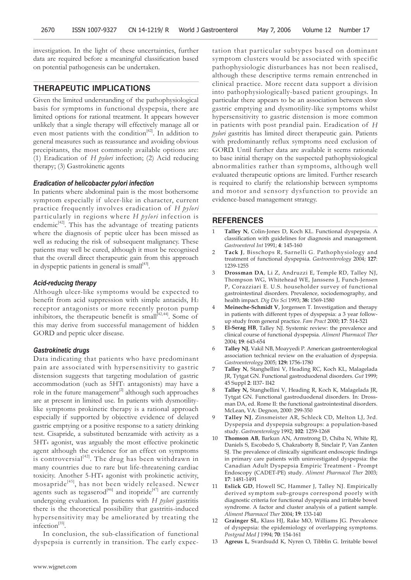investigation. In the light of these uncertainties, further data are required before a meaningful classification based on potential pathogenesis can be undertaken.

#### **THERAPEUTIC IMPLICATIONS**

Given the limited understanding of the pathophysiological basis for symptoms in functional dyspepsia, there are limited options for rational treatment. It appears however unlikely that a single therapy will effectively manage all or even most patients with the condition<sup>[42]</sup>. In addition to general measures such as reassurance and avoiding obvious precipitants, the most commonly available options are: (1) Eradication of *H pylori* infection; (2) Acid reducing therapy; (3) Gastrokinetic agents

#### *Eradication of helicobacter pylori infection*

In patients where abdominal pain is the most bothersome symptom especially if ulcer-like in character, current practice frequently involves eradication of *H pylori* particularly in regions where *H pylori* infection is endemic $[42]$ . This has the advantage of treating patients where the diagnosis of peptic ulcer has been missed as well as reducing the risk of subsequent malignancy. These patients may well be cured, although it must be recognised that the overall direct therapeutic gain from this approach in dyspeptic patients in general is small[43].

#### *Acid-reducing therapy*

Although ulcer-like symptoms would be expected to benefit from acid suppression with simple antacids, H2 receptor antagonists or more recently proton pump inhibitors, the therapeutic benefit is small $[42,44]$ . Some of this may derive from successful management of hidden GORD and peptic ulcer disease.

#### *Gastrokinetic drugs*

Data indicating that patients who have predominant pain are associated with hypersensitivity to gastric distension suggests that targeting modulation of gastric accommodation (such as 5HT1 antagonists) may have a role in the future management<sup>[2]</sup> although such approaches are at present in limited use. In patients with dysmotilitylike symptoms prokinetic therapy is a rational approach especially if supported by objective evidence of delayed gastric emptying or a positive response to a satiety drinking test. Cisapride, a substituted benzamide with activity as a 5HT4 agonist, was arguably the most effective prokinetic agent although the evidence for an effect on symptoms is controversial $[42]$ . The drug has been withdrawn in many countries due to rare but life-threatening cardiac toxicity. Another 5-HT4 agonist with prokinetic activity, mosapride<sup>[45]</sup>, has not been widely released. Newer agents such as tegaserod<sup>[46]</sup> and itopride<sup>[47]</sup> are currently undergoing evaluation. In patients with *H pylori* gastritis there is the theoretical possibility that gastritis-induced hypersensitivity may be ameliorated by treating the infection<sup>[35]</sup>.

In conclusion, the sub-classification of functional dyspepsia is currently in transition. The early expec-

tation that particular subtypes based on dominant symptom clusters would be associated with specific pathophysiologic disturbances has not been realised, although these descriptive terms remain entrenched in clinical practice. More recent data support a division into pathophysiologically-based patient groupings. In particular there appears to be an association between slow gastric emptying and dysmotility-like symptoms whilst hypersensitivity to gastric distension is more common in patients with post prandial pain. Eradication of *H pylori* gastritis has limited direct therapeutic gain. Patients with predominantly reflux symptoms need exclusion of GORD. Until further data are available it seems rationale to base initial therapy on the suspected pathophysiological abnormalities rather than symptoms, although well evaluated therapeutic options are limited. Further research is required to clarify the relationship between symptoms and motor and sensory dysfunction to provide an evidence-based management strategy.

#### **REFERENCES**

- 1 **Talley N**, Colin-Jones D, Koch KL. Functional dyspepsia. A classification with guidelines for diagnosis and management. *Gastroenterol Int* 1991; **4**: 145-160
- 2 **Tack J**, Bisschops R, Sarnelli G. Pathophysiology and treatment of functional dyspepsia. *Gastroenterology* 2004; **127**: 1239-1255
- 3 **Drossman DA**, Li Z, Andruzzi E, Temple RD, Talley NJ, Thompson WG, Whitehead WE, Janssens J, Funch-Jensen P, Corazziari E. U.S. householder survey of functional gastrointestinal disorders. Prevalence, sociodemography, and health impact. *Dig Dis Sci* 1993; **38:** 1569-1580
- 4 **Meineche-Schmidt V**, Jorgensen T. Investigation and therapy in patients with different types of dyspepsia: a 3 year followup study from general practice. *Fam Pract* 2000; **17**: 514-521
- 5 **El-Serag HB**, Talley NJ. Systemic review: the prevalence and clinical course of functional dyspepsia. *Aliment Pharmacol Ther* 2004; **19**: 643-654
- 6 **Talley NJ**, Vakil NB, Moayyedi P. American gastroenterological association technical review on the evaluation of dyspepsia. *Gastroenterology* 2005; **129:** 1756-1780
- 7 **Talley N**, Stanghellini V, Heading RC, Koch KL, Malagelada JR, Tytgat GN. Functional gastroduodenal disorders. *Gut* 1999; 45 Suppl **2**: II37- II42
- 8 **Talley N,** Stanghellini V, Heading R, Koch K, Malagelada JR, Tytgat GN. Functional gastroduodenal disorders. In: Drossman DA, ed. Rome II: the functional gastrointestinal disorders. McLean, VA: Degnon, 2000: 299-350
- 9 **Talley NJ**, Zinsmeister AR, Schleck CD, Melton LJ, 3rd. Dyspepsia and dyspepsia subgroups: a population-based study. *Gastroenterology* 1992; **102**: 1259-1268
- 10 **Thomson AB**, Barkun AN, Armstrong D, Chiba N, White RJ, Daniels S, Escobedo S, Chakraborty B, Sinclair P, Van Zanten SJ. The prevalence of clinically significant endoscopic findings in primary care patients with uninvestigated dyspepsia: the Canadian Adult Dyspepsia Empiric Treatment - Prompt Endoscopy (CADET-PE) study. *Aliment Pharmacol Ther* 2003; **17**: 1481-1491
- Eslick GD, Howell SC, Hammer J, Talley NJ. Empirically derived symptom sub-groups correspond poorly with diagnostic criteria for functional dyspepsia and irritable bowel syndrome. A factor and cluster analysis of a patient sample. *Aliment Pharmacol Ther* 2004; **19**: 133-140
- 12 **Grainger SL**, Klass HJ, Rake MO, Williams JG. Prevalence of dyspepsia: the epidemiology of overlapping symptoms. *Postgrad Med J* 1994; **70**: 154-161
- 13 **Agreus L**, Svardsudd K, Nyren O, Tibblin G. Irritable bowel